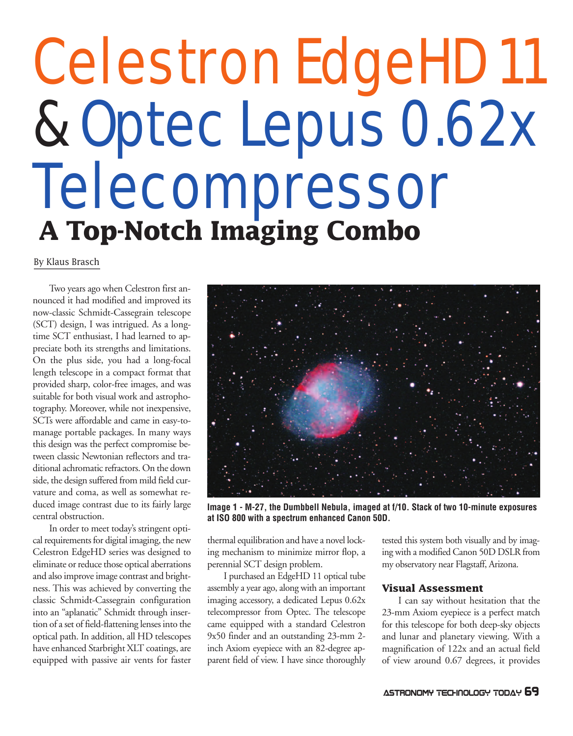# Celestron EdgeHD 11 & Optec Lepus 0.62x Telecompressor **A Top-Notch Imaging Combo**

By Klaus Brasch

Two years ago when Celestron first announced it had modified and improved its now-classic Schmidt-Cassegrain telescope (SCT) design, I was intrigued. As a longtime SCT enthusiast, I had learned to appreciate both its strengths and limitations. On the plus side, you had a long-focal length telescope in a compact format that provided sharp, color-free images, and was suitable for both visual work and astrophotography. Moreover, while not inexpensive, SCTs were affordable and came in easy-tomanage portable packages. In many ways this design was the perfect compromise between classic Newtonian reflectors and traditional achromatic refractors. On the down side, the design suffered from mild field curvature and coma, as well as somewhat reduced image contrast due to its fairly large central obstruction.

In order to meet today's stringent optical requirements for digital imaging, the new Celestron EdgeHD series was designed to eliminate or reduce those optical aberrations and also improve image contrast and brightness. This was achieved by converting the classic Schmidt-Cassegrain configuration into an "aplanatic" Schmidt through insertion of a set of field-flattening lenses into the optical path. In addition, all HD telescopes have enhanced Starbright XLT coatings, are equipped with passive air vents for faster



**Image 1 - M-27, the Dumbbell Nebula, imaged at f/10. Stack of two 10-minute exposures at ISO 800 with a spectrum enhanced Canon 50D.**

thermal equilibration and have a novel locking mechanism to minimize mirror flop, a perennial SCT design problem.

I purchased an EdgeHD 11 optical tube assembly a year ago, along with an important imaging accessory, a dedicated Lepus 0.62x telecompressor from Optec. The telescope came equipped with a standard Celestron 9x50 finder and an outstanding 23-mm 2 inch Axiom eyepiece with an 82-degree apparent field of view. I have since thoroughly tested this system both visually and by imaging with a modified Canon 50D DSLR from my observatory near Flagstaff, Arizona.

## **Visual Assessment**

I can say without hesitation that the 23-mm Axiom eyepiece is a perfect match for this telescope for both deep-sky objects and lunar and planetary viewing. With a magnification of 122x and an actual field of view around 0.67 degrees, it provides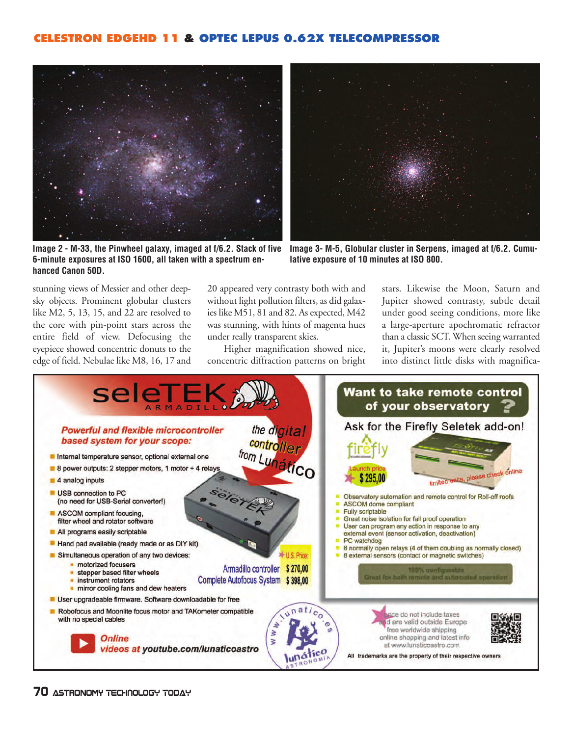# **CELESTRON EDGEHD 11 & OPTEC LEPUS 0.62X TELECOMPRESSOR**



**Image 2 - M-33, the Pinwheel galaxy, imaged at f/6.2. Stack of five 6-minute exposures at ISO 1600, all taken with a spectrum enhanced Canon 50D.**



**Image 3- M-5, Globular cluster in Serpens, imaged at f/6.2. Cumulative exposure of 10 minutes at ISO 800.**

stunning views of Messier and other deepsky objects. Prominent globular clusters like M2, 5, 13, 15, and 22 are resolved to the core with pin-point stars across the entire field of view. Defocusing the eyepiece showed concentric donuts to the edge of field. Nebulae like M8, 16, 17 and

20 appeared very contrasty both with and without light pollution filters, as did galaxies like M51, 81 and 82. As expected, M42 was stunning, with hints of magenta hues under really transparent skies.

Higher magnification showed nice, concentric diffraction patterns on bright stars. Likewise the Moon, Saturn and Jupiter showed contrasty, subtle detail under good seeing conditions, more like a large-aperture apochromatic refractor than a classic SCT. When seeing warranted it, Jupiter's moons were clearly resolved into distinct little disks with magnifica-